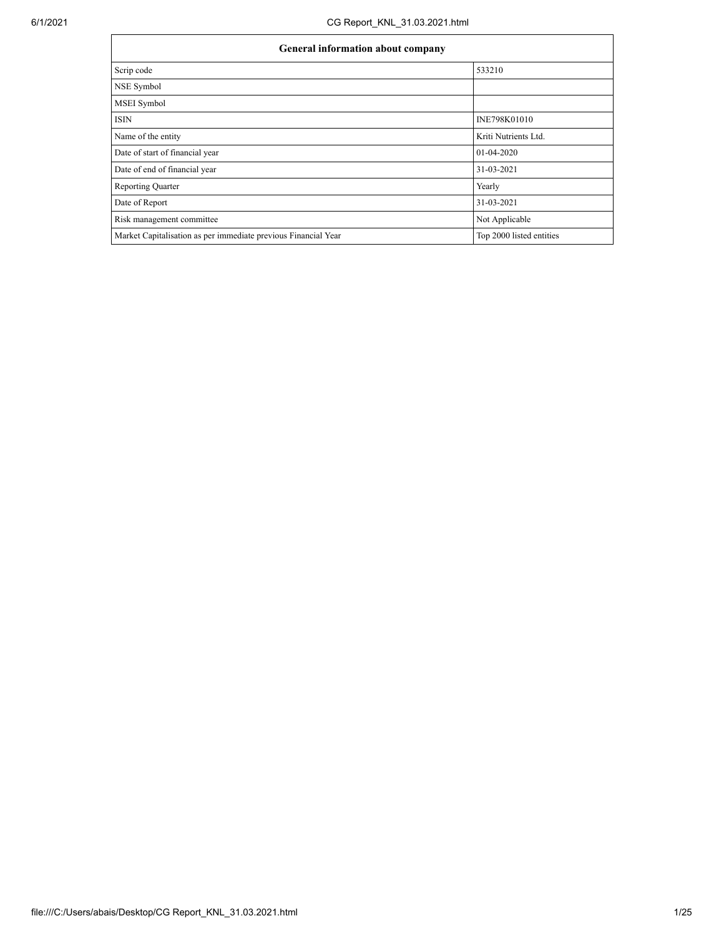| <b>General information about company</b>                       |                          |  |  |  |  |  |  |
|----------------------------------------------------------------|--------------------------|--|--|--|--|--|--|
| Scrip code                                                     | 533210                   |  |  |  |  |  |  |
| NSE Symbol                                                     |                          |  |  |  |  |  |  |
| MSEI Symbol                                                    |                          |  |  |  |  |  |  |
| <b>ISIN</b>                                                    | INE798K01010             |  |  |  |  |  |  |
| Name of the entity                                             | Kriti Nutrients Ltd.     |  |  |  |  |  |  |
| Date of start of financial year                                | $01-04-2020$             |  |  |  |  |  |  |
| Date of end of financial year                                  | 31-03-2021               |  |  |  |  |  |  |
| <b>Reporting Quarter</b>                                       | Yearly                   |  |  |  |  |  |  |
| Date of Report                                                 | 31-03-2021               |  |  |  |  |  |  |
| Risk management committee                                      | Not Applicable           |  |  |  |  |  |  |
| Market Capitalisation as per immediate previous Financial Year | Top 2000 listed entities |  |  |  |  |  |  |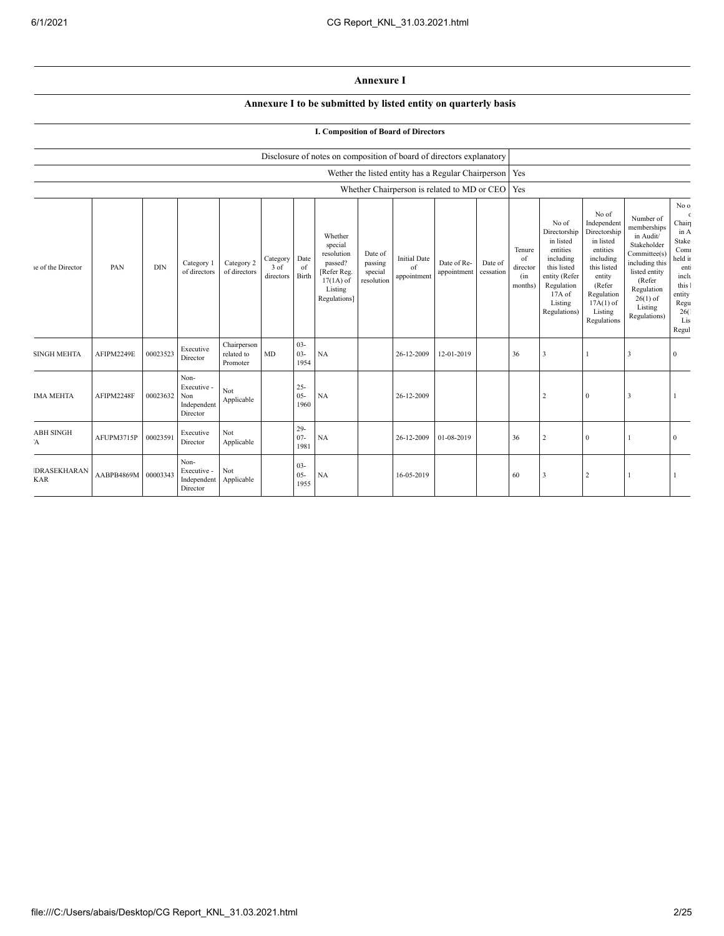## **Annexure I**

## **Annexure I to be submitted by listed entity on quarterly basis**

## **I. Composition of Board of Directors**

|                                  |                     |            |                                                       |                                       |                               |                          | Disclosure of notes on composition of board of directors explanatory                                 |                                             |                                          |                                                          |                      |                                            |                                                                                                                                                |                                                                                                                                                                      |                                                                                                                                                                          |                                                                                                                                    |
|----------------------------------|---------------------|------------|-------------------------------------------------------|---------------------------------------|-------------------------------|--------------------------|------------------------------------------------------------------------------------------------------|---------------------------------------------|------------------------------------------|----------------------------------------------------------|----------------------|--------------------------------------------|------------------------------------------------------------------------------------------------------------------------------------------------|----------------------------------------------------------------------------------------------------------------------------------------------------------------------|--------------------------------------------------------------------------------------------------------------------------------------------------------------------------|------------------------------------------------------------------------------------------------------------------------------------|
|                                  |                     |            |                                                       |                                       |                               |                          |                                                                                                      |                                             |                                          | Wether the listed entity has a Regular Chairperson   Yes |                      |                                            |                                                                                                                                                |                                                                                                                                                                      |                                                                                                                                                                          |                                                                                                                                    |
|                                  |                     |            |                                                       |                                       |                               |                          |                                                                                                      |                                             |                                          | Whether Chairperson is related to MD or CEO   Yes        |                      |                                            |                                                                                                                                                |                                                                                                                                                                      |                                                                                                                                                                          |                                                                                                                                    |
| le of the Director               | PAN                 | <b>DIN</b> | Category 1<br>of directors                            | Category 2<br>of directors            | Category<br>3 of<br>directors | Date<br>of<br>Birth      | Whether<br>special<br>resolution<br>passed?<br>[Refer Reg.<br>$17(1A)$ of<br>Listing<br>Regulations] | Date of<br>passing<br>special<br>resolution | <b>Initial Date</b><br>of<br>appointment | Date of Re-<br>appointment                               | Date of<br>cessation | Tenure<br>of<br>director<br>(in<br>months) | No of<br>Directorship<br>in listed<br>entities<br>including<br>this listed<br>entity (Refer<br>Regulation<br>17A of<br>Listing<br>Regulations) | No of<br>Independent<br>Directorship<br>in listed<br>entities<br>including<br>this listed<br>entity<br>(Refer<br>Regulation<br>$17A(1)$ of<br>Listing<br>Regulations | Number of<br>memberships<br>in Audit/<br>Stakeholder<br>Committee(s)<br>including this<br>listed entity<br>(Refer<br>Regulation<br>$26(1)$ of<br>Listing<br>Regulations) | No o<br>$\epsilon$<br>Chair<br>in A<br>Stake<br>Com<br>held in<br>ent:<br>inclu<br>this 1<br>entity<br>Regu<br>26(<br>Lis<br>Regul |
| <b>SINGH MEHTA</b>               | AFIPM2249E          | 00023523   | Executive<br>Director                                 | Chairperson<br>related to<br>Promoter | MD                            | $03 -$<br>$03 -$<br>1954 | NA                                                                                                   |                                             | 26-12-2009                               | 12-01-2019                                               |                      | 36                                         | 3                                                                                                                                              |                                                                                                                                                                      | 3                                                                                                                                                                        | $\mathbf{0}$                                                                                                                       |
| <b>IMA MEHTA</b>                 | AFIPM2248F          | 00023632   | Non-<br>Executive -<br>Non<br>Independent<br>Director | Not<br>Applicable                     |                               | $25 -$<br>$05 -$<br>1960 | <b>NA</b>                                                                                            |                                             | 26-12-2009                               |                                                          |                      |                                            | $\overline{2}$                                                                                                                                 | $\theta$                                                                                                                                                             | $\overline{\mathbf{3}}$                                                                                                                                                  |                                                                                                                                    |
| <b>ABH SINGH</b><br>Ά            | AFUPM3715P          | 00023591   | Executive<br>Director                                 | Not<br>Applicable                     |                               | $29 -$<br>$07 -$<br>1981 | NA                                                                                                   |                                             | 26-12-2009                               | 01-08-2019                                               |                      | 36                                         | 2                                                                                                                                              | $\theta$                                                                                                                                                             |                                                                                                                                                                          | $\mathbf{0}$                                                                                                                       |
| <b>DRASEKHARAN</b><br><b>KAR</b> | AABPB4869M 00003343 |            | Non-<br>Executive -<br>Independent<br>Director        | Not<br>Applicable                     |                               | $03 -$<br>$05 -$<br>1955 | NA                                                                                                   |                                             | 16-05-2019                               |                                                          |                      | 60                                         | 3                                                                                                                                              | $\overline{2}$                                                                                                                                                       |                                                                                                                                                                          |                                                                                                                                    |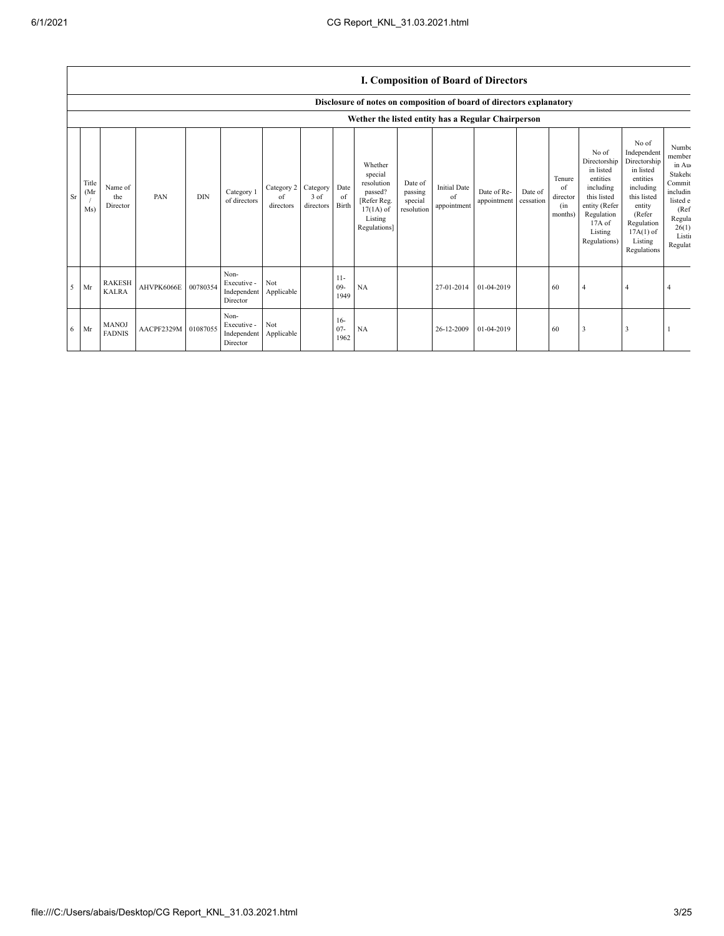Sr Title (Mr /  $Ms$ 

<sup>5</sup> Mr RAKESH

AHVPK6066E 00780354

6 Mr MANOJ AACPF2329M 01087055

Non-Executive - Independent Director

Non-Executive - Independent Director

Not Applicable

Not Applicable 11- 09- 1949

16- 07- 1962

|                            |     |     |                            |                               |                               |                     |                                                                                                      |                                             | <b>I. Composition of Board of Directors</b> |                            |                      |                                            |                                                                                                                                                |                                                                                                                                                                      |                                                                                                                      |
|----------------------------|-----|-----|----------------------------|-------------------------------|-------------------------------|---------------------|------------------------------------------------------------------------------------------------------|---------------------------------------------|---------------------------------------------|----------------------------|----------------------|--------------------------------------------|------------------------------------------------------------------------------------------------------------------------------------------------|----------------------------------------------------------------------------------------------------------------------------------------------------------------------|----------------------------------------------------------------------------------------------------------------------|
|                            |     |     |                            |                               |                               |                     | Disclosure of notes on composition of board of directors explanatory                                 |                                             |                                             |                            |                      |                                            |                                                                                                                                                |                                                                                                                                                                      |                                                                                                                      |
|                            |     |     |                            |                               |                               |                     | Wether the listed entity has a Regular Chairperson                                                   |                                             |                                             |                            |                      |                                            |                                                                                                                                                |                                                                                                                                                                      |                                                                                                                      |
| Name of<br>the<br>Director | PAN | DIN | Category 1<br>of directors | Category 2<br>οf<br>directors | Category<br>3 of<br>directors | Date<br>of<br>Birth | Whether<br>special<br>resolution<br>passed?<br>[Refer Reg.<br>$17(1A)$ of<br>Listing<br>Regulations] | Date of<br>passing<br>special<br>resolution | <b>Initial Date</b><br>of<br>appointment    | Date of Re-<br>appointment | Date of<br>cessation | Tenure<br>of<br>director<br>(in<br>months) | No of<br>Directorship<br>in listed<br>entities<br>including<br>this listed<br>entity (Refer<br>Regulation<br>17A of<br>Listing<br>Regulations) | No of<br>Independent<br>Directorship<br>in listed<br>entities<br>including<br>this listed<br>entity<br>(Refer<br>Regulation<br>$17A(1)$ of<br>Listing<br>Regulations | Numbe<br>member<br>in Au<br>Stakeho<br>Commit<br>includin<br>listed e<br>(Ref<br>Regula<br>26(1)<br>Listi<br>Regulat |

NA 27-01-2014 01-04-2019 60 4 4 4

NA 26-12-2009 01-04-2019 60 3 3 1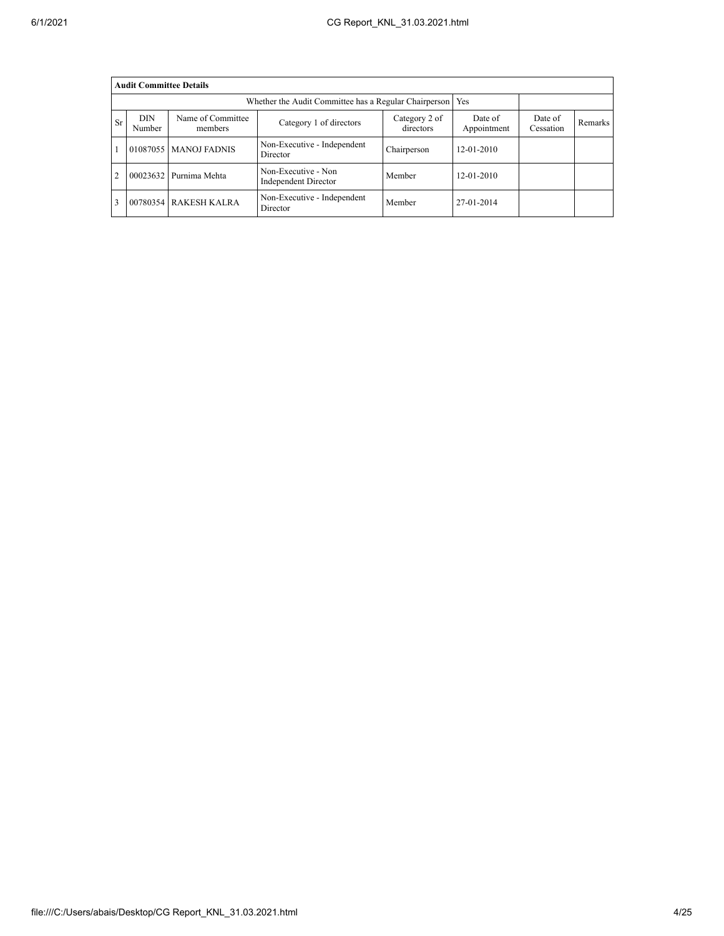|    | <b>Audit Committee Details</b> |                                                             |                                             |                            |                        |                      |         |  |  |  |  |
|----|--------------------------------|-------------------------------------------------------------|---------------------------------------------|----------------------------|------------------------|----------------------|---------|--|--|--|--|
|    |                                | Whether the Audit Committee has a Regular Chairperson   Yes |                                             |                            |                        |                      |         |  |  |  |  |
| Sr | <b>DIN</b><br>Number           | Name of Committee<br>members                                | Category 1 of directors                     | Category 2 of<br>directors | Date of<br>Appointment | Date of<br>Cessation | Remarks |  |  |  |  |
|    | 01087055                       | <b>MANOJ FADNIS</b>                                         | Non-Executive - Independent<br>Director     | Chairperson                | $12 - 01 - 2010$       |                      |         |  |  |  |  |
|    | 00023632                       | Purnima Mehta                                               | Non-Executive - Non<br>Independent Director | Member                     | $12 - 01 - 2010$       |                      |         |  |  |  |  |
|    | 00780354                       | <b>RAKESH KALRA</b>                                         | Non-Executive - Independent<br>Director     | Member                     | 27-01-2014             |                      |         |  |  |  |  |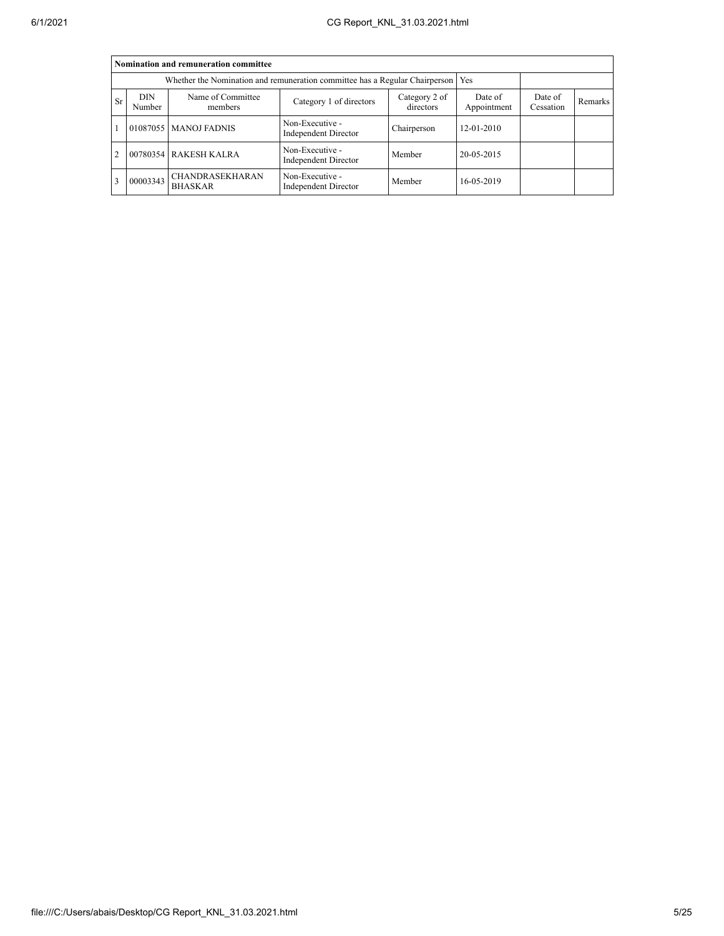|               | Nomination and remuneration committee |                                                                                   |                                         |                      |            |  |  |  |  |  |
|---------------|---------------------------------------|-----------------------------------------------------------------------------------|-----------------------------------------|----------------------|------------|--|--|--|--|--|
|               |                                       | Whether the Nomination and remuneration committee has a Regular Chairperson   Yes |                                         |                      |            |  |  |  |  |  |
| <b>Sr</b>     | <b>DIN</b><br>Number                  | Name of Committee<br>members                                                      | Date of<br>Appointment                  | Date of<br>Cessation | Remarks    |  |  |  |  |  |
|               |                                       | 01087055   MANOJ FADNIS                                                           | Non-Executive -<br>Independent Director | Chairperson          | 12-01-2010 |  |  |  |  |  |
| $\mathcal{D}$ |                                       | 00780354 RAKESH KALRA                                                             | Non-Executive -<br>Independent Director | Member               | 20-05-2015 |  |  |  |  |  |
|               | 00003343                              | CHANDRASEKHARAN<br><b>BHASKAR</b>                                                 | Non-Executive -<br>Independent Director | Member               | 16-05-2019 |  |  |  |  |  |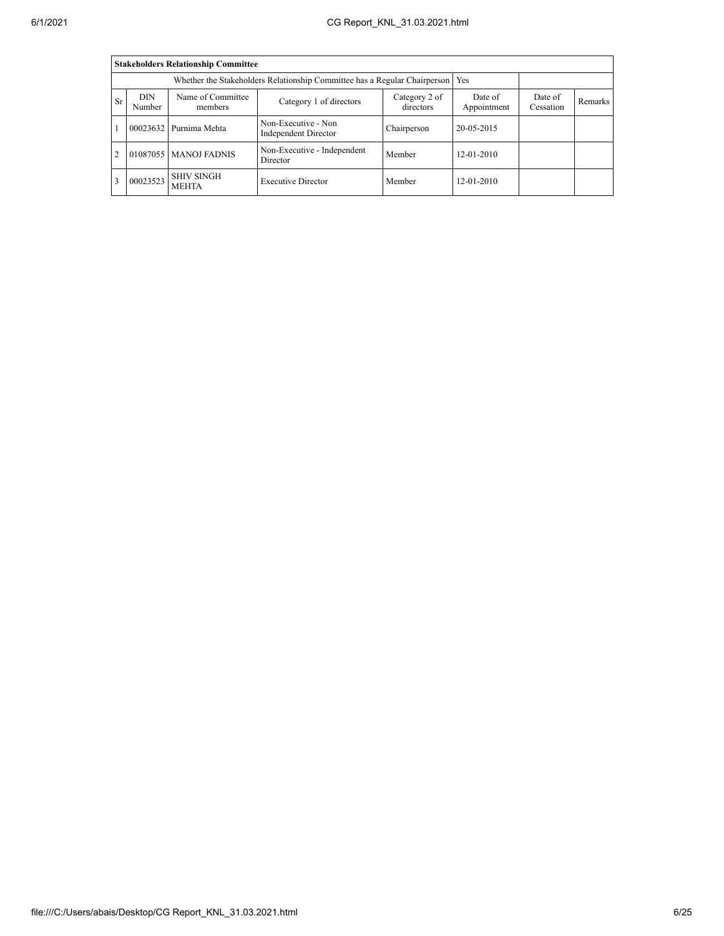|    | <b>Stakeholders Relationship Committee</b> |                                   |                                                                                 |                      |                  |  |  |  |  |  |  |
|----|--------------------------------------------|-----------------------------------|---------------------------------------------------------------------------------|----------------------|------------------|--|--|--|--|--|--|
|    |                                            |                                   | Whether the Stakeholders Relationship Committee has a Regular Chairperson   Yes |                      |                  |  |  |  |  |  |  |
| Sr | <b>DIN</b><br>Number                       | Name of Committee<br>members      | Date of<br>Appointment                                                          | Date of<br>Cessation | Remarks          |  |  |  |  |  |  |
|    |                                            | 00023632 Purnima Mehta            | Non-Executive - Non<br>Independent Director                                     | Chairperson          | 20-05-2015       |  |  |  |  |  |  |
|    |                                            | 01087055 MANOJ FADNIS             | Non-Executive - Independent<br>Director                                         | Member               | $12 - 01 - 2010$ |  |  |  |  |  |  |
|    | 00023523                                   | <b>SHIV SINGH</b><br><b>MEHTA</b> | <b>Executive Director</b>                                                       | Member               | $12 - 01 - 2010$ |  |  |  |  |  |  |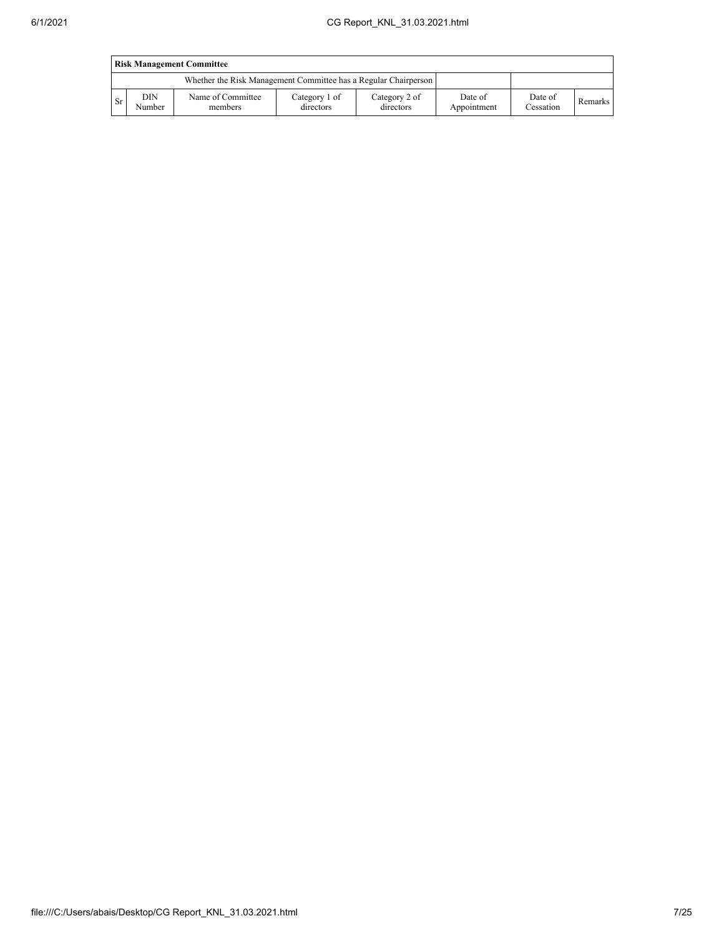|     | <b>Risk Management Committee</b> |                                                                 |                            |                            |                        |                      |         |  |  |
|-----|----------------------------------|-----------------------------------------------------------------|----------------------------|----------------------------|------------------------|----------------------|---------|--|--|
|     |                                  | Whether the Risk Management Committee has a Regular Chairperson |                            |                            |                        |                      |         |  |  |
| -Sr | DIN<br>Number                    | Name of Committee<br>members                                    | Category 1 of<br>directors | Category 2 of<br>directors | Date of<br>Appointment | Date of<br>Cessation | Remarks |  |  |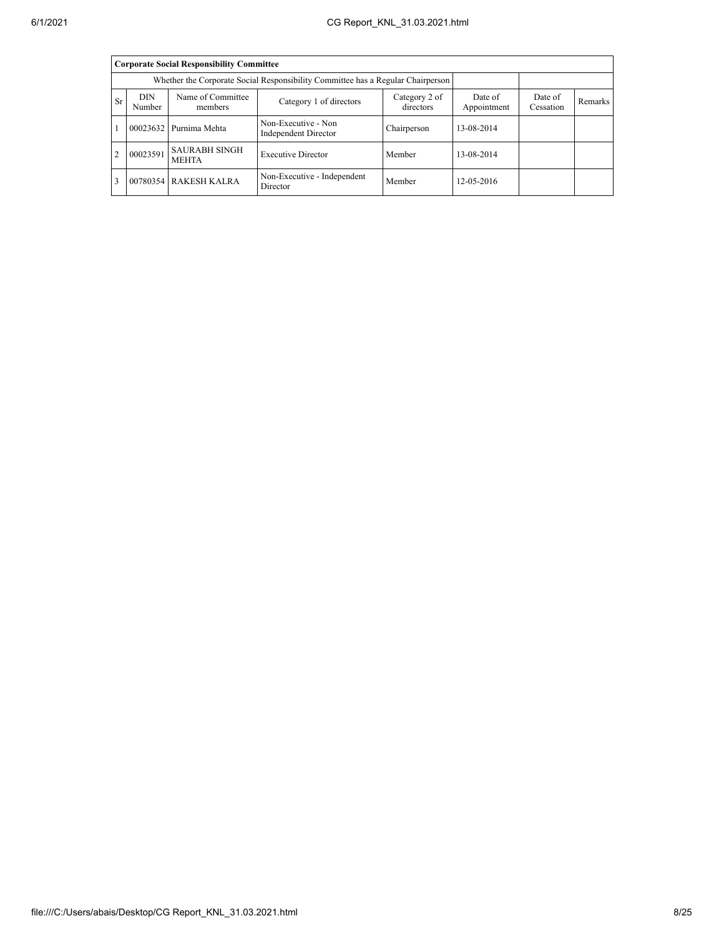|    | <b>Corporate Social Responsibility Committee</b> |                                                                                 |                                             |                        |                      |         |  |  |  |  |
|----|--------------------------------------------------|---------------------------------------------------------------------------------|---------------------------------------------|------------------------|----------------------|---------|--|--|--|--|
|    |                                                  | Whether the Corporate Social Responsibility Committee has a Regular Chairperson |                                             |                        |                      |         |  |  |  |  |
| Sr | <b>DIN</b><br>Number                             | Name of Committee<br>members                                                    | Category 2 of<br>directors                  | Date of<br>Appointment | Date of<br>Cessation | Remarks |  |  |  |  |
|    | 00023632                                         | Purnima Mehta                                                                   | Non-Executive - Non<br>Independent Director | Chairperson            | 13-08-2014           |         |  |  |  |  |
|    | 00023591                                         | <b>SAURABH SINGH</b><br><b>MEHTA</b>                                            | <b>Executive Director</b>                   | Member                 | 13-08-2014           |         |  |  |  |  |
|    |                                                  | 00780354 RAKESH KALRA                                                           | Non-Executive - Independent<br>Director     | Member                 | 12-05-2016           |         |  |  |  |  |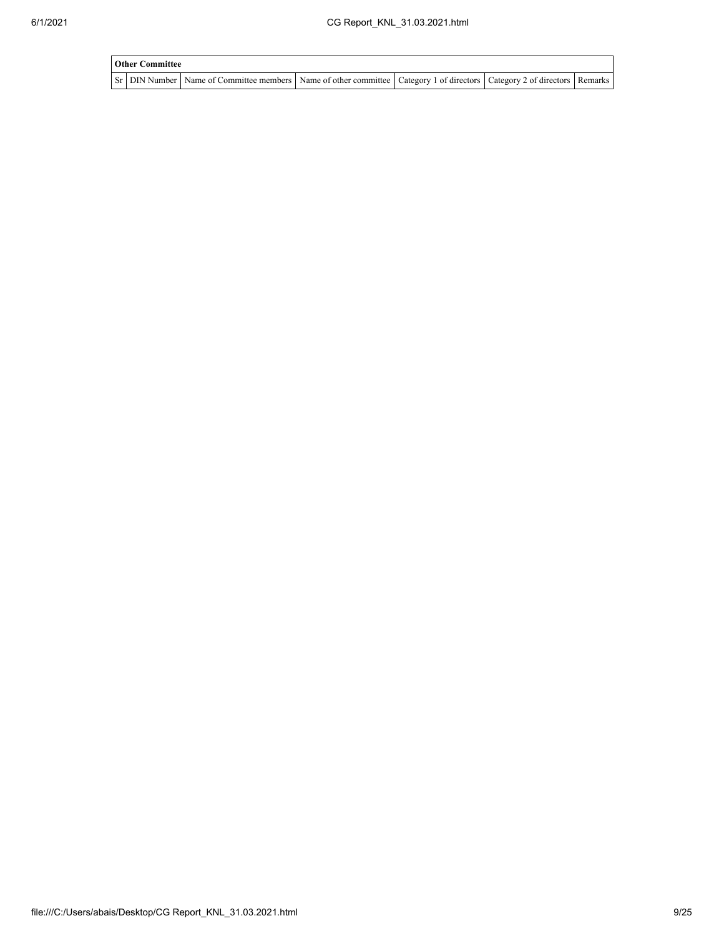| <b>Other Committee</b> |                                                                                                                                     |  |  |
|------------------------|-------------------------------------------------------------------------------------------------------------------------------------|--|--|
|                        | Sr   DIN Number   Name of Committee members   Name of other committee   Category 1 of directors   Category 2 of directors   Remarks |  |  |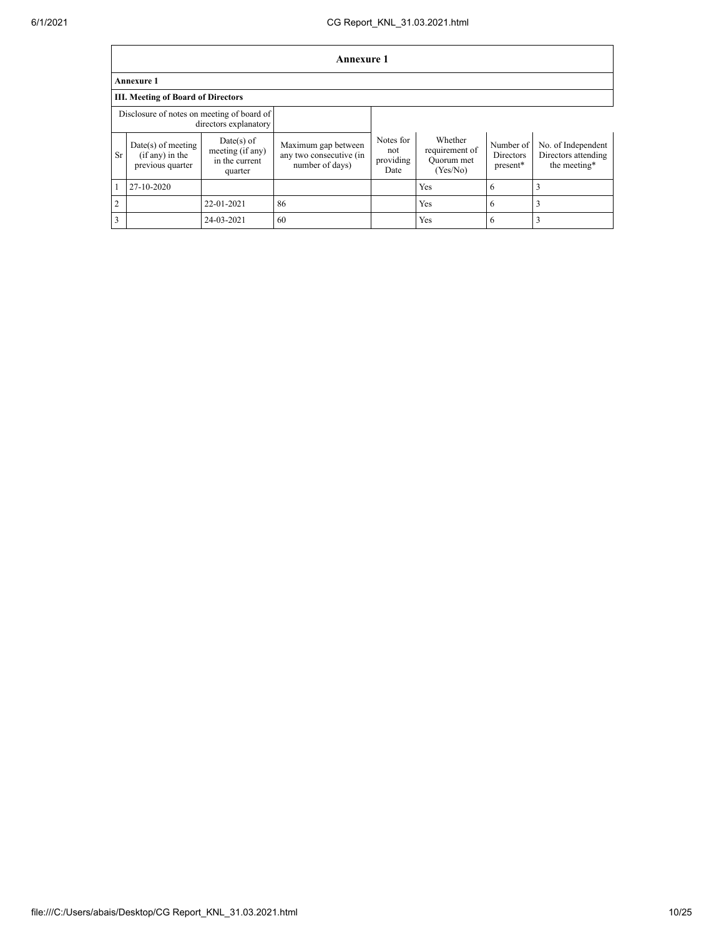|                | <b>Annexure 1</b>                                             |                                                               |                                                                   |                                       |                                                     |                                    |                                                           |  |
|----------------|---------------------------------------------------------------|---------------------------------------------------------------|-------------------------------------------------------------------|---------------------------------------|-----------------------------------------------------|------------------------------------|-----------------------------------------------------------|--|
|                | <b>Annexure 1</b>                                             |                                                               |                                                                   |                                       |                                                     |                                    |                                                           |  |
|                | <b>III. Meeting of Board of Directors</b>                     |                                                               |                                                                   |                                       |                                                     |                                    |                                                           |  |
|                | Disclosure of notes on meeting of board of                    | directors explanatory                                         |                                                                   |                                       |                                                     |                                    |                                                           |  |
| <b>Sr</b>      | $Date(s)$ of meeting<br>$(if any)$ in the<br>previous quarter | $Date(s)$ of<br>meeting (if any)<br>in the current<br>quarter | Maximum gap between<br>any two consecutive (in<br>number of days) | Notes for<br>not<br>providing<br>Date | Whether<br>requirement of<br>Quorum met<br>(Yes/No) | Number of<br>Directors<br>present* | No. of Independent<br>Directors attending<br>the meeting* |  |
| $\mathbf{1}$   | 27-10-2020                                                    |                                                               |                                                                   |                                       | Yes                                                 | 6                                  |                                                           |  |
| 2              |                                                               | 22-01-2021                                                    | 86                                                                |                                       | Yes                                                 | 6                                  |                                                           |  |
| $\overline{3}$ |                                                               | 24-03-2021                                                    | 60                                                                |                                       | Yes                                                 | 6                                  | 3                                                         |  |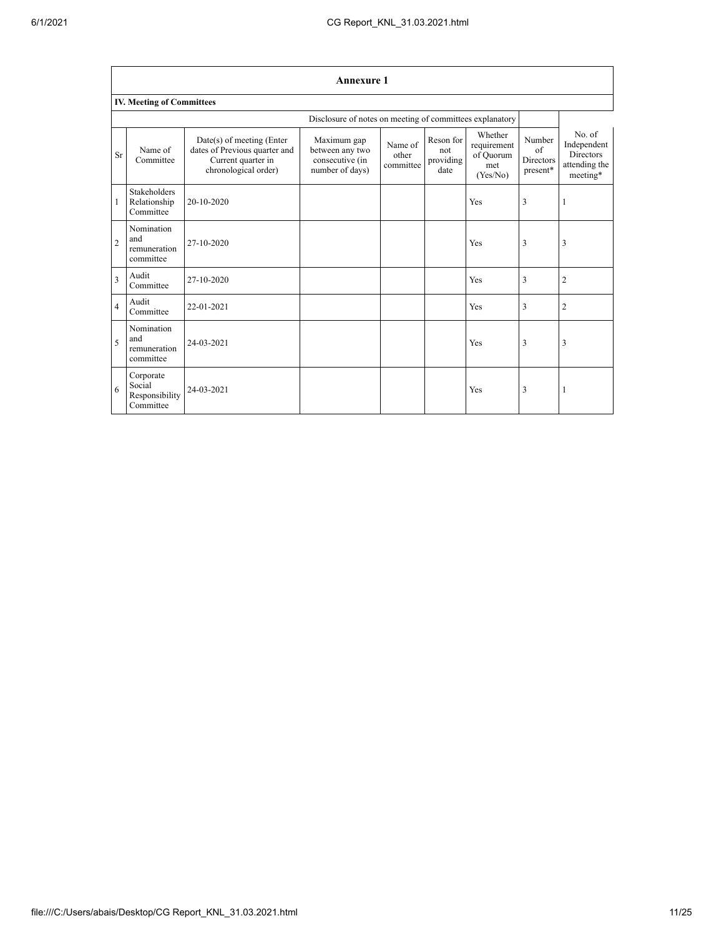|                | <b>Annexure 1</b>                                  |                                                                                                            |                                                                      |                               |                                       |                                                        |                                                      |                                                                         |  |  |
|----------------|----------------------------------------------------|------------------------------------------------------------------------------------------------------------|----------------------------------------------------------------------|-------------------------------|---------------------------------------|--------------------------------------------------------|------------------------------------------------------|-------------------------------------------------------------------------|--|--|
|                | <b>IV. Meeting of Committees</b>                   |                                                                                                            |                                                                      |                               |                                       |                                                        |                                                      |                                                                         |  |  |
|                |                                                    |                                                                                                            | Disclosure of notes on meeting of committees explanatory             |                               |                                       |                                                        |                                                      |                                                                         |  |  |
| <b>Sr</b>      | Name of<br>Committee                               | $Date(s)$ of meeting (Enter<br>dates of Previous quarter and<br>Current quarter in<br>chronological order) | Maximum gap<br>between any two<br>consecutive (in<br>number of days) | Name of<br>other<br>committee | Reson for<br>not<br>providing<br>date | Whether<br>requirement<br>of Quorum<br>met<br>(Yes/No) | Number<br>$\sigma$ f<br><b>Directors</b><br>present* | $No$ of<br>Independent<br><b>Directors</b><br>attending the<br>meeting* |  |  |
| $\mathbf{1}$   | <b>Stakeholders</b><br>Relationship<br>Committee   | 20-10-2020                                                                                                 |                                                                      |                               |                                       | Yes                                                    | 3                                                    | 1                                                                       |  |  |
| $\overline{2}$ | Nomination<br>and<br>remuneration<br>committee     | 27-10-2020                                                                                                 |                                                                      |                               |                                       | Yes                                                    | 3                                                    | 3                                                                       |  |  |
| $\overline{3}$ | Audit<br>Committee                                 | 27-10-2020                                                                                                 |                                                                      |                               |                                       | Yes                                                    | 3                                                    | $\overline{c}$                                                          |  |  |
| $\overline{4}$ | Audit<br>Committee                                 | 22-01-2021                                                                                                 |                                                                      |                               |                                       | Yes                                                    | 3                                                    | $\overline{2}$                                                          |  |  |
| 5              | Nomination<br>and<br>remuneration<br>committee     | 24-03-2021                                                                                                 |                                                                      |                               |                                       | Yes                                                    | 3                                                    | 3                                                                       |  |  |
| 6              | Corporate<br>Social<br>Responsibility<br>Committee | 24-03-2021                                                                                                 |                                                                      |                               |                                       | Yes                                                    | 3                                                    | 1                                                                       |  |  |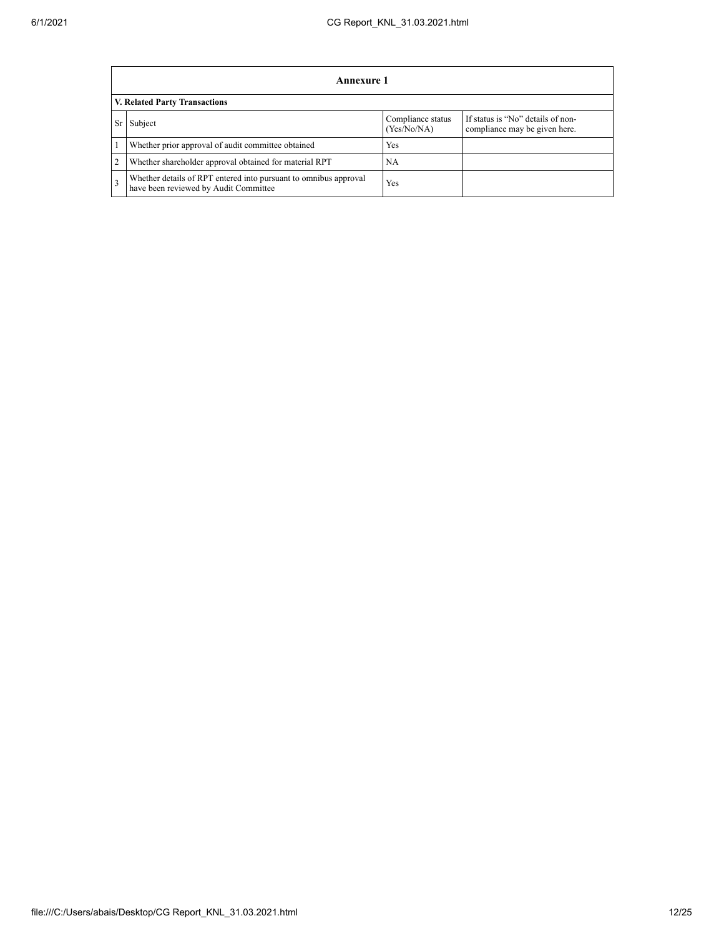|                                                                                                                         | <b>Annexure 1</b>                                                                                         |            |  |  |  |  |  |  |
|-------------------------------------------------------------------------------------------------------------------------|-----------------------------------------------------------------------------------------------------------|------------|--|--|--|--|--|--|
|                                                                                                                         | V. Related Party Transactions                                                                             |            |  |  |  |  |  |  |
| If status is "No" details of non-<br>Compliance status<br>Subject<br>Sr<br>(Yes/No/NA)<br>compliance may be given here. |                                                                                                           |            |  |  |  |  |  |  |
|                                                                                                                         | Whether prior approval of audit committee obtained                                                        | Yes        |  |  |  |  |  |  |
| $\overline{2}$                                                                                                          | Whether shareholder approval obtained for material RPT                                                    | NA         |  |  |  |  |  |  |
| 3                                                                                                                       | Whether details of RPT entered into pursuant to omnibus approval<br>have been reviewed by Audit Committee | <b>Yes</b> |  |  |  |  |  |  |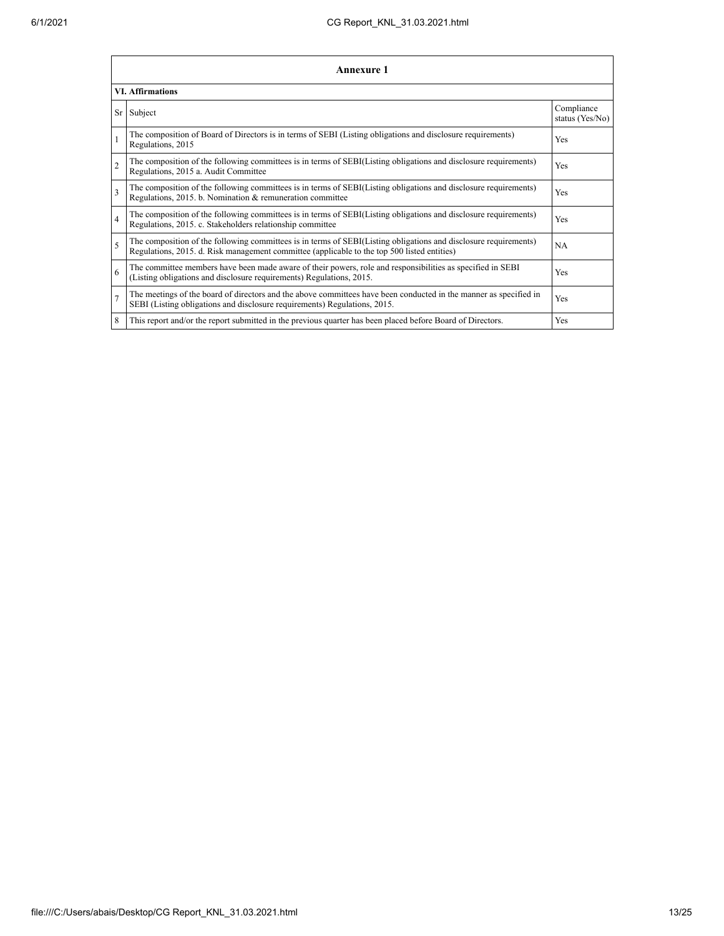|                | <b>Annexure 1</b>                                                                                                                                                                                               |                               |  |  |
|----------------|-----------------------------------------------------------------------------------------------------------------------------------------------------------------------------------------------------------------|-------------------------------|--|--|
|                | <b>VI. Affirmations</b>                                                                                                                                                                                         |                               |  |  |
| Sr             | Subject                                                                                                                                                                                                         | Compliance<br>status (Yes/No) |  |  |
|                | The composition of Board of Directors is in terms of SEBI (Listing obligations and disclosure requirements)<br>Regulations, 2015                                                                                | Yes                           |  |  |
| $\overline{c}$ | The composition of the following committees is in terms of SEBI(Listing obligations and disclosure requirements)<br>Regulations, 2015 a. Audit Committee                                                        | <b>Yes</b>                    |  |  |
| 3              | The composition of the following committees is in terms of SEBI(Listing obligations and disclosure requirements)<br>Regulations, 2015. b. Nomination & remuneration committee                                   | Yes                           |  |  |
| $\overline{4}$ | The composition of the following committees is in terms of SEBI(Listing obligations and disclosure requirements)<br>Regulations, 2015. c. Stakeholders relationship committee                                   | Yes                           |  |  |
| 5              | The composition of the following committees is in terms of SEBI(Listing obligations and disclosure requirements)<br>Regulations, 2015. d. Risk management committee (applicable to the top 500 listed entities) | <b>NA</b>                     |  |  |
| 6              | The committee members have been made aware of their powers, role and responsibilities as specified in SEBI<br>(Listing obligations and disclosure requirements) Regulations, 2015.                              | Yes                           |  |  |
| $\overline{7}$ | The meetings of the board of directors and the above committees have been conducted in the manner as specified in<br>SEBI (Listing obligations and disclosure requirements) Regulations, 2015.                  | Yes                           |  |  |
| 8              | This report and/or the report submitted in the previous quarter has been placed before Board of Directors.                                                                                                      | <b>Yes</b>                    |  |  |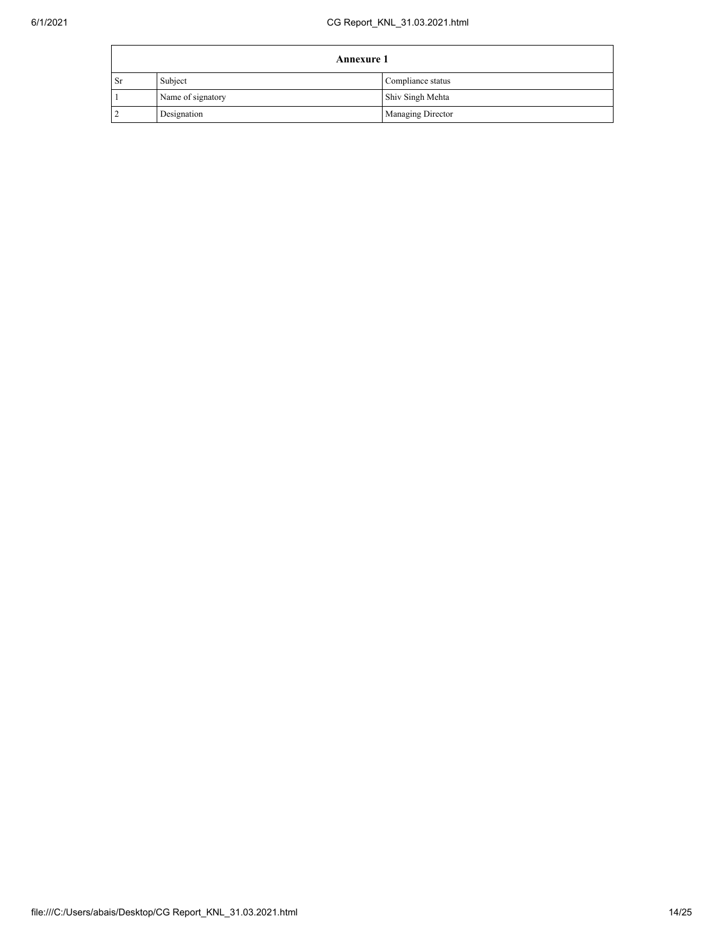|    | <b>Annexure 1</b> |                          |  |
|----|-------------------|--------------------------|--|
| Sr | Subject           | Compliance status        |  |
|    | Name of signatory | Shiv Singh Mehta         |  |
|    | Designation       | <b>Managing Director</b> |  |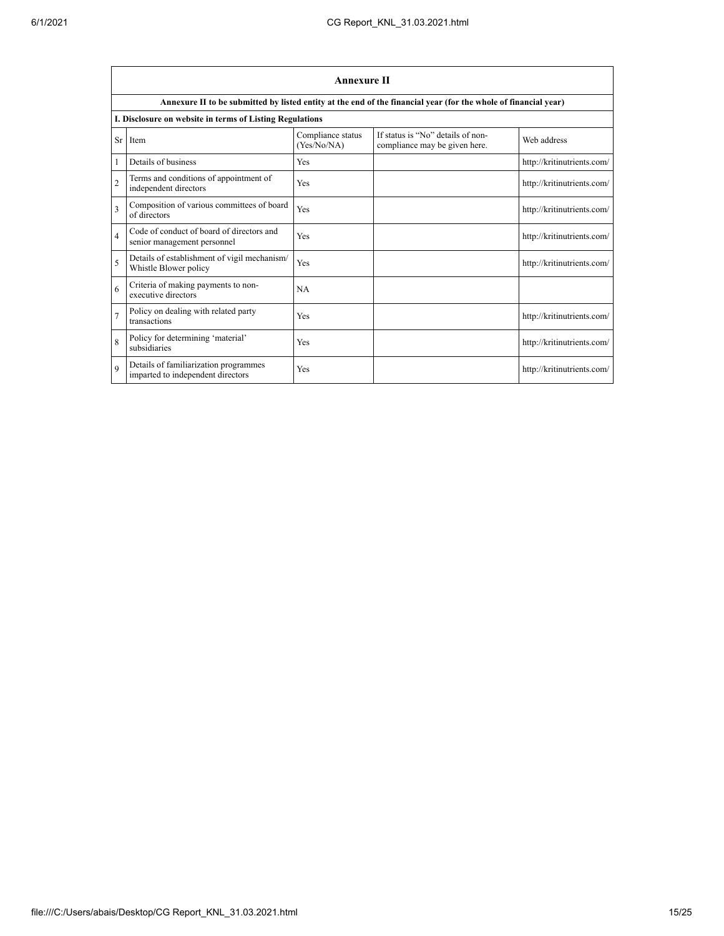|                         | <b>Annexure II</b>                                                         |                                  |                                                                                                                 |                            |  |
|-------------------------|----------------------------------------------------------------------------|----------------------------------|-----------------------------------------------------------------------------------------------------------------|----------------------------|--|
|                         |                                                                            |                                  | Annexure II to be submitted by listed entity at the end of the financial year (for the whole of financial year) |                            |  |
|                         | I. Disclosure on website in terms of Listing Regulations                   |                                  |                                                                                                                 |                            |  |
| Sr                      | Item                                                                       | Compliance status<br>(Yes/No/NA) | If status is "No" details of non-<br>compliance may be given here.                                              | Web address                |  |
| 1                       | Details of business                                                        | Yes                              |                                                                                                                 | http://kritinutrients.com/ |  |
| $\overline{c}$          | Terms and conditions of appointment of<br>independent directors            | Yes                              |                                                                                                                 | http://kritinutrients.com/ |  |
| 3                       | Composition of various committees of board<br>of directors                 | Yes                              |                                                                                                                 | http://kritinutrients.com/ |  |
| $\overline{\mathbf{4}}$ | Code of conduct of board of directors and<br>senior management personnel   | Yes                              |                                                                                                                 | http://kritinutrients.com/ |  |
| 5                       | Details of establishment of vigil mechanism/<br>Whistle Blower policy      | Yes                              |                                                                                                                 | http://kritinutrients.com/ |  |
| 6                       | Criteria of making payments to non-<br>executive directors                 | <b>NA</b>                        |                                                                                                                 |                            |  |
| $\overline{7}$          | Policy on dealing with related party<br>transactions                       | Yes                              |                                                                                                                 | http://kritinutrients.com/ |  |
| 8                       | Policy for determining 'material'<br>subsidiaries                          | Yes                              |                                                                                                                 | http://kritinutrients.com/ |  |
| $\mathbf Q$             | Details of familiarization programmes<br>imparted to independent directors | Yes                              |                                                                                                                 | http://kritinutrients.com/ |  |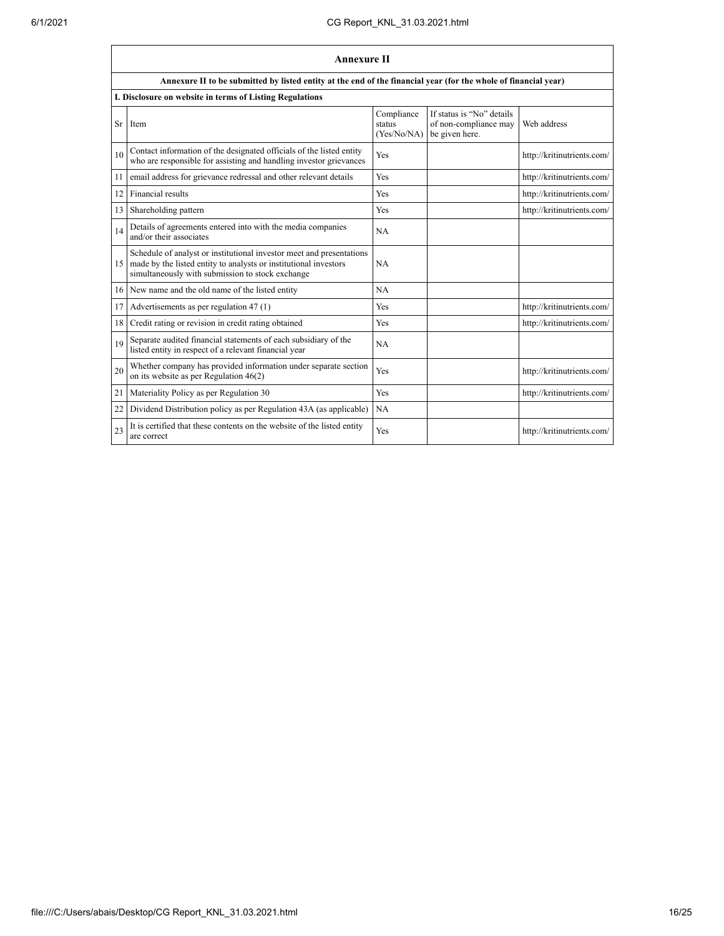|    | <b>Annexure II</b>                                                                                                                                                                           |                                     |                                                                      |                            |
|----|----------------------------------------------------------------------------------------------------------------------------------------------------------------------------------------------|-------------------------------------|----------------------------------------------------------------------|----------------------------|
|    | Annexure II to be submitted by listed entity at the end of the financial year (for the whole of financial year)                                                                              |                                     |                                                                      |                            |
|    | I. Disclosure on website in terms of Listing Regulations                                                                                                                                     |                                     |                                                                      |                            |
| Sr | Item                                                                                                                                                                                         | Compliance<br>status<br>(Yes/No/NA) | If status is "No" details<br>of non-compliance may<br>be given here. | Web address                |
| 10 | Contact information of the designated officials of the listed entity<br>who are responsible for assisting and handling investor grievances                                                   | Yes                                 |                                                                      | http://kritinutrients.com/ |
| 11 | email address for grievance redressal and other relevant details                                                                                                                             | Yes                                 |                                                                      | http://kritinutrients.com/ |
| 12 | Financial results                                                                                                                                                                            | Yes                                 |                                                                      | http://kritinutrients.com/ |
| 13 | Shareholding pattern                                                                                                                                                                         | Yes                                 |                                                                      | http://kritinutrients.com/ |
| 14 | Details of agreements entered into with the media companies<br>and/or their associates                                                                                                       | <b>NA</b>                           |                                                                      |                            |
| 15 | Schedule of analyst or institutional investor meet and presentations<br>made by the listed entity to analysts or institutional investors<br>simultaneously with submission to stock exchange | NA                                  |                                                                      |                            |
| 16 | New name and the old name of the listed entity                                                                                                                                               | NA                                  |                                                                      |                            |
| 17 | Advertisements as per regulation 47 (1)                                                                                                                                                      | Yes                                 |                                                                      | http://kritinutrients.com/ |
| 18 | Credit rating or revision in credit rating obtained                                                                                                                                          | Yes                                 |                                                                      | http://kritinutrients.com/ |
| 19 | Separate audited financial statements of each subsidiary of the<br>listed entity in respect of a relevant financial year                                                                     | NA                                  |                                                                      |                            |
| 20 | Whether company has provided information under separate section<br>on its website as per Regulation $46(2)$                                                                                  | Yes                                 |                                                                      | http://kritinutrients.com/ |
| 21 | Materiality Policy as per Regulation 30                                                                                                                                                      | Yes                                 |                                                                      | http://kritinutrients.com/ |
| 22 | Dividend Distribution policy as per Regulation 43A (as applicable)                                                                                                                           | <b>NA</b>                           |                                                                      |                            |
| 23 | It is certified that these contents on the website of the listed entity<br>are correct                                                                                                       | Yes                                 |                                                                      | http://kritinutrients.com/ |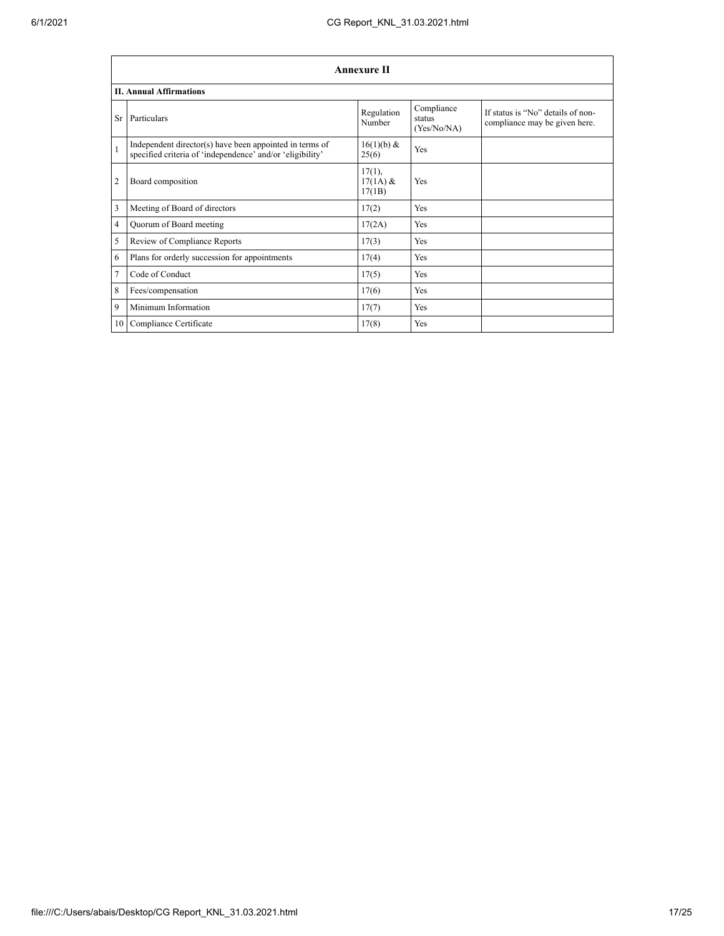|                 | Annexure II                                                                                                          |                                |                                     |                                                                    |  |
|-----------------|----------------------------------------------------------------------------------------------------------------------|--------------------------------|-------------------------------------|--------------------------------------------------------------------|--|
|                 | <b>II. Annual Affirmations</b>                                                                                       |                                |                                     |                                                                    |  |
| Sr <sup>-</sup> | Particulars                                                                                                          | Regulation<br>Number           | Compliance<br>status<br>(Yes/No/NA) | If status is "No" details of non-<br>compliance may be given here. |  |
| $\mathbf{1}$    | Independent director(s) have been appointed in terms of<br>specified criteria of 'independence' and/or 'eligibility' | 16(1)(b) &<br>25(6)            | Yes                                 |                                                                    |  |
| $\overline{2}$  | Board composition                                                                                                    | 17(1),<br>$17(1A)$ &<br>17(1B) | Yes                                 |                                                                    |  |
| 3               | Meeting of Board of directors                                                                                        | 17(2)                          | Yes                                 |                                                                    |  |
| 4               | Quorum of Board meeting                                                                                              | 17(2A)                         | Yes                                 |                                                                    |  |
| 5               | Review of Compliance Reports                                                                                         | 17(3)                          | Yes                                 |                                                                    |  |
| 6               | Plans for orderly succession for appointments                                                                        | 17(4)                          | Yes                                 |                                                                    |  |
| $\overline{7}$  | Code of Conduct                                                                                                      | 17(5)                          | Yes                                 |                                                                    |  |
| 8               | Fees/compensation                                                                                                    | 17(6)                          | Yes                                 |                                                                    |  |
| 9               | Minimum Information                                                                                                  | 17(7)                          | Yes                                 |                                                                    |  |
| 10              | Compliance Certificate                                                                                               | 17(8)                          | Yes                                 |                                                                    |  |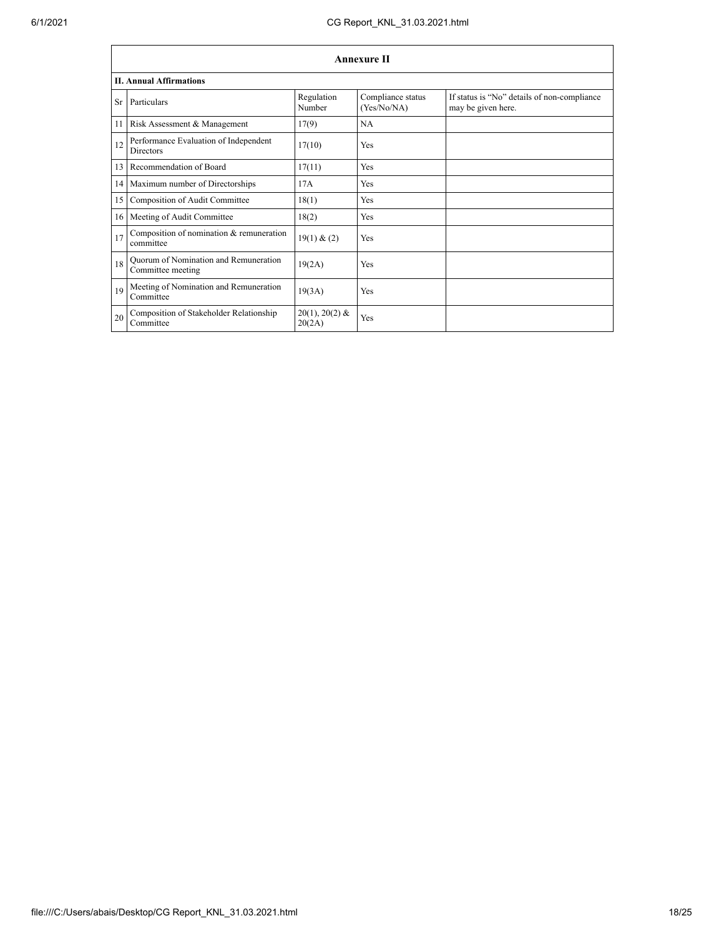|    | Annexure II                                                |                            |                                  |                                                                   |  |  |
|----|------------------------------------------------------------|----------------------------|----------------------------------|-------------------------------------------------------------------|--|--|
|    | <b>II. Annual Affirmations</b>                             |                            |                                  |                                                                   |  |  |
| Sr | Particulars                                                | Regulation<br>Number       | Compliance status<br>(Yes/No/NA) | If status is "No" details of non-compliance<br>may be given here. |  |  |
| 11 | Risk Assessment & Management                               | 17(9)                      | <b>NA</b>                        |                                                                   |  |  |
| 12 | Performance Evaluation of Independent<br><b>Directors</b>  | 17(10)                     | Yes                              |                                                                   |  |  |
| 13 | Recommendation of Board                                    | 17(11)                     | Yes                              |                                                                   |  |  |
| 14 | Maximum number of Directorships                            | 17A                        | Yes                              |                                                                   |  |  |
| 15 | Composition of Audit Committee                             | 18(1)                      | Yes                              |                                                                   |  |  |
| 16 | Meeting of Audit Committee                                 | 18(2)                      | Yes                              |                                                                   |  |  |
| 17 | Composition of nomination & remuneration<br>committee      | 19(1) & (2)                | Yes                              |                                                                   |  |  |
| 18 | Quorum of Nomination and Remuneration<br>Committee meeting | 19(2A)                     | Yes                              |                                                                   |  |  |
| 19 | Meeting of Nomination and Remuneration<br>Committee        | 19(3A)                     | Yes                              |                                                                   |  |  |
| 20 | Composition of Stakeholder Relationship<br>Committee       | $20(1), 20(2)$ &<br>20(2A) | Yes                              |                                                                   |  |  |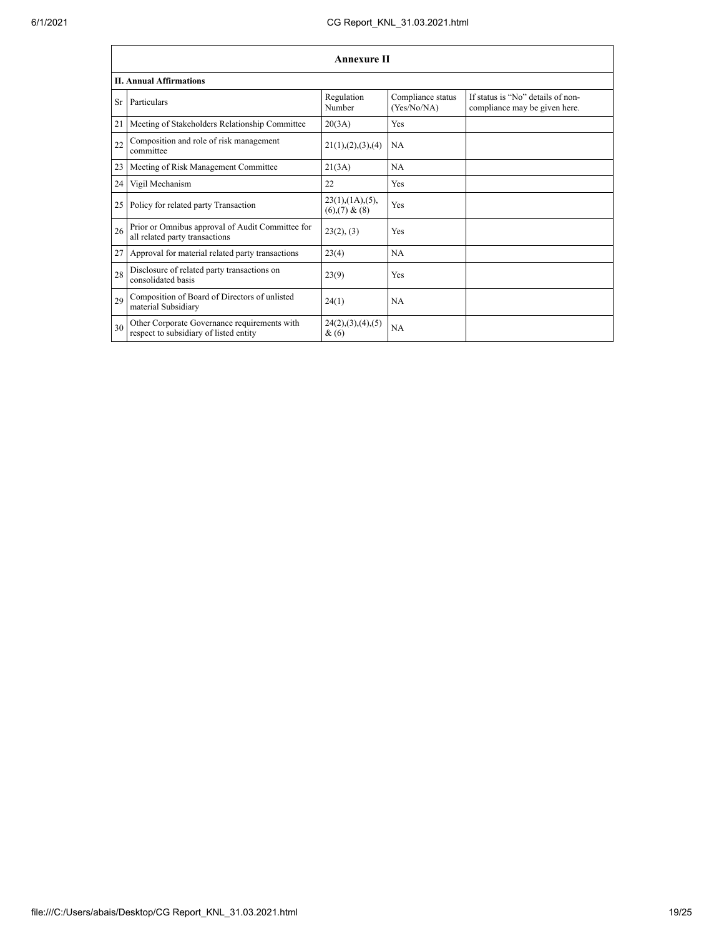|                 | <b>Annexure II</b>                                                                     |                                                     |                                  |                                                                    |  |
|-----------------|----------------------------------------------------------------------------------------|-----------------------------------------------------|----------------------------------|--------------------------------------------------------------------|--|
|                 | <b>II. Annual Affirmations</b>                                                         |                                                     |                                  |                                                                    |  |
| Sr <sup>-</sup> | Particulars                                                                            | Regulation<br>Number                                | Compliance status<br>(Yes/No/NA) | If status is "No" details of non-<br>compliance may be given here. |  |
| 21              | Meeting of Stakeholders Relationship Committee                                         | 20(3A)                                              | Yes                              |                                                                    |  |
| 22              | Composition and role of risk management<br>committee                                   | 21(1), (2), (3), (4)                                | <b>NA</b>                        |                                                                    |  |
| 23              | Meeting of Risk Management Committee                                                   | 21(3A)                                              | <b>NA</b>                        |                                                                    |  |
| 24              | Vigil Mechanism                                                                        | 22                                                  | Yes                              |                                                                    |  |
| 25              | Policy for related party Transaction                                                   | $23(1)$ , $(1A)$ , $(5)$ ,<br>$(6)$ , $(7)$ & $(8)$ | Yes                              |                                                                    |  |
| 26              | Prior or Omnibus approval of Audit Committee for<br>all related party transactions     | 23(2), (3)                                          | Yes                              |                                                                    |  |
| 27              | Approval for material related party transactions                                       | 23(4)                                               | <b>NA</b>                        |                                                                    |  |
| 28              | Disclosure of related party transactions on<br>consolidated basis                      | 23(9)                                               | Yes                              |                                                                    |  |
| 29              | Composition of Board of Directors of unlisted<br>material Subsidiary                   | 24(1)                                               | <b>NA</b>                        |                                                                    |  |
| 30              | Other Corporate Governance requirements with<br>respect to subsidiary of listed entity | 24(2), (3), (4), (5)<br>$\&(6)$                     | <b>NA</b>                        |                                                                    |  |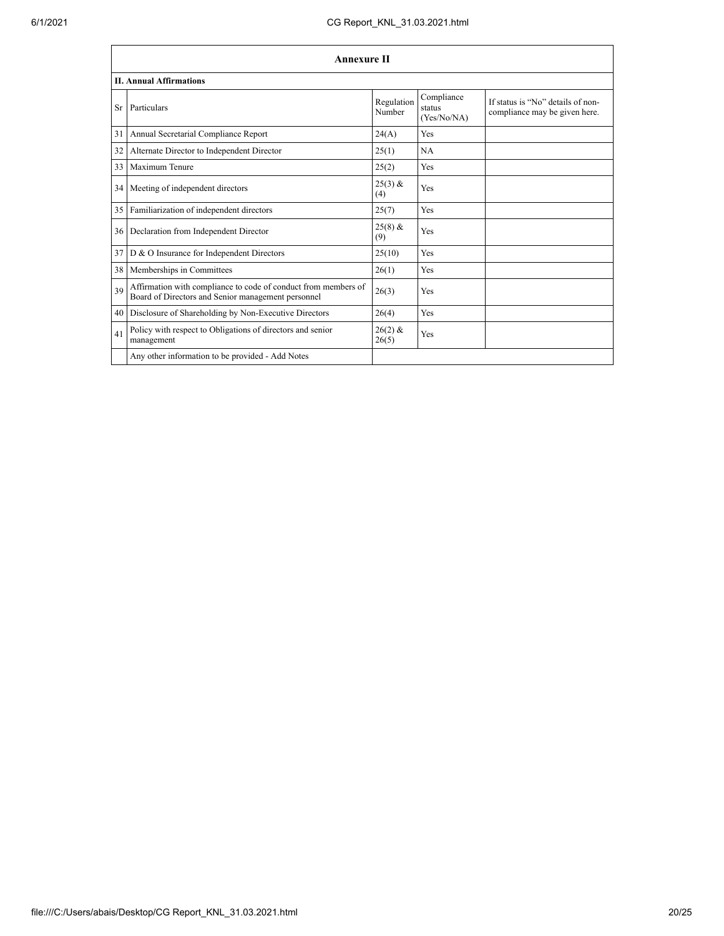|    | <b>Annexure II</b>                                                                                                   |                      |                                     |                                                                    |
|----|----------------------------------------------------------------------------------------------------------------------|----------------------|-------------------------------------|--------------------------------------------------------------------|
|    | <b>II. Annual Affirmations</b>                                                                                       |                      |                                     |                                                                    |
| Sr | Particulars                                                                                                          | Regulation<br>Number | Compliance<br>status<br>(Yes/No/NA) | If status is "No" details of non-<br>compliance may be given here. |
| 31 | Annual Secretarial Compliance Report                                                                                 | 24(A)                | Yes                                 |                                                                    |
| 32 | Alternate Director to Independent Director                                                                           | 25(1)                | NA                                  |                                                                    |
| 33 | Maximum Tenure                                                                                                       | 25(2)                | Yes                                 |                                                                    |
| 34 | Meeting of independent directors                                                                                     | $25(3)$ &<br>(4)     | Yes                                 |                                                                    |
|    | 35 Familiarization of independent directors                                                                          | 25(7)                | Yes                                 |                                                                    |
| 36 | Declaration from Independent Director                                                                                | $25(8)$ &<br>(9)     | Yes                                 |                                                                    |
| 37 | D & O Insurance for Independent Directors                                                                            | 25(10)               | Yes                                 |                                                                    |
| 38 | Memberships in Committees                                                                                            | 26(1)                | Yes                                 |                                                                    |
| 39 | Affirmation with compliance to code of conduct from members of<br>Board of Directors and Senior management personnel | 26(3)                | Yes                                 |                                                                    |
| 40 | Disclosure of Shareholding by Non-Executive Directors                                                                | 26(4)                | Yes                                 |                                                                    |
| 41 | Policy with respect to Obligations of directors and senior<br>management                                             | $26(2)$ &<br>26(5)   | Yes                                 |                                                                    |
|    | Any other information to be provided - Add Notes                                                                     |                      |                                     |                                                                    |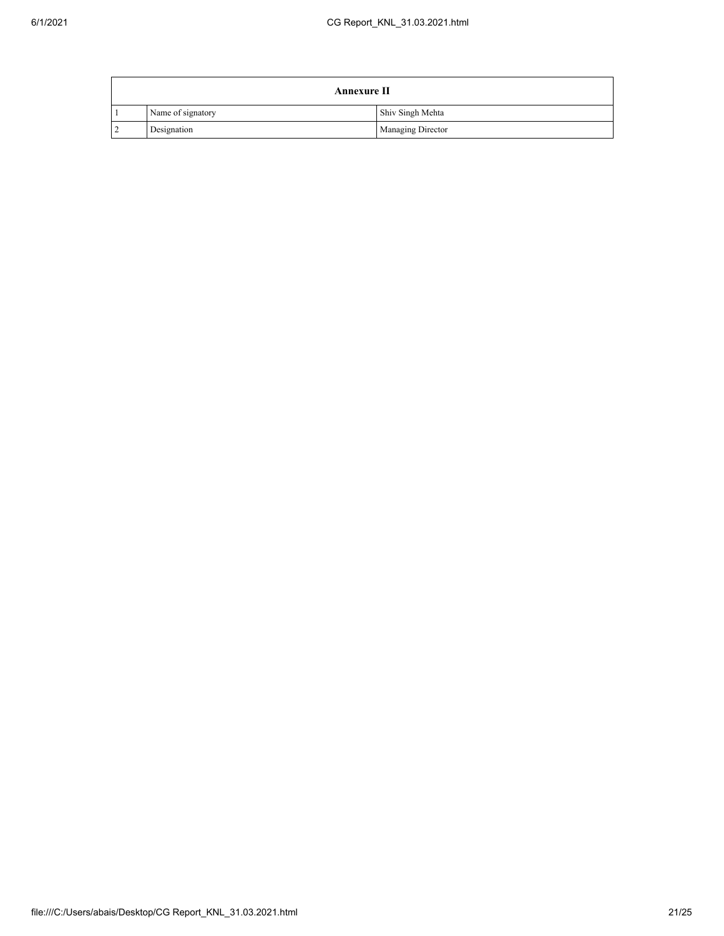|                | <b>Annexure II</b> |                          |  |
|----------------|--------------------|--------------------------|--|
|                | Name of signatory  | Shiv Singh Mehta         |  |
| $\overline{2}$ | Designation        | <b>Managing Director</b> |  |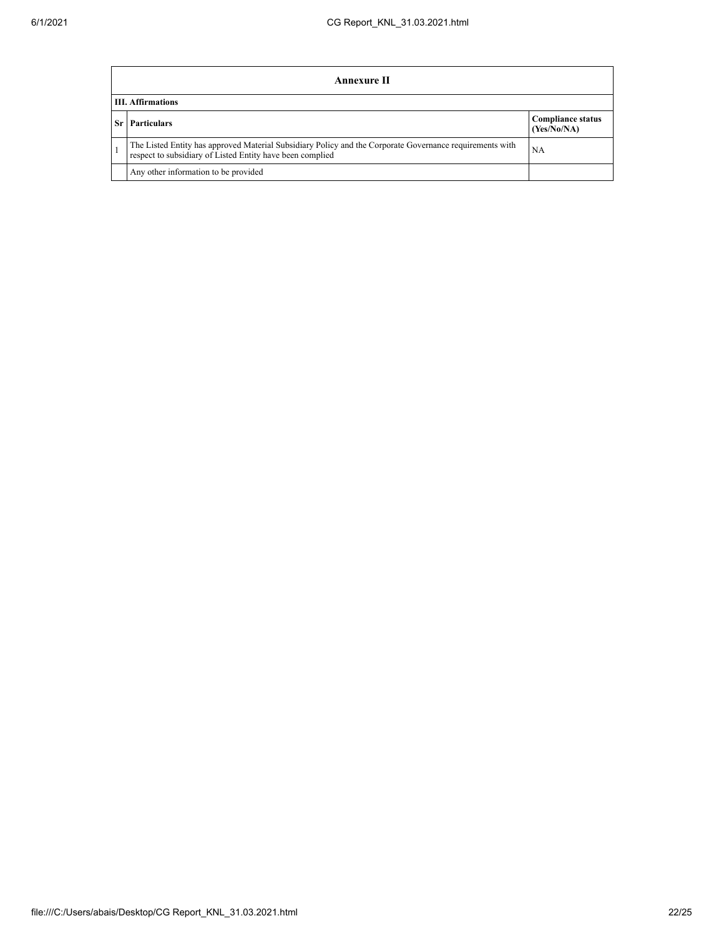|    | Annexure II                                                                                                                                                                 |                                         |  |  |
|----|-----------------------------------------------------------------------------------------------------------------------------------------------------------------------------|-----------------------------------------|--|--|
|    | <b>III.</b> Affirmations                                                                                                                                                    |                                         |  |  |
| Sr | <b>Particulars</b>                                                                                                                                                          | <b>Compliance status</b><br>(Yes/No/NA) |  |  |
|    | The Listed Entity has approved Material Subsidiary Policy and the Corporate Governance requirements with<br>NA<br>respect to subsidiary of Listed Entity have been complied |                                         |  |  |
|    | Any other information to be provided                                                                                                                                        |                                         |  |  |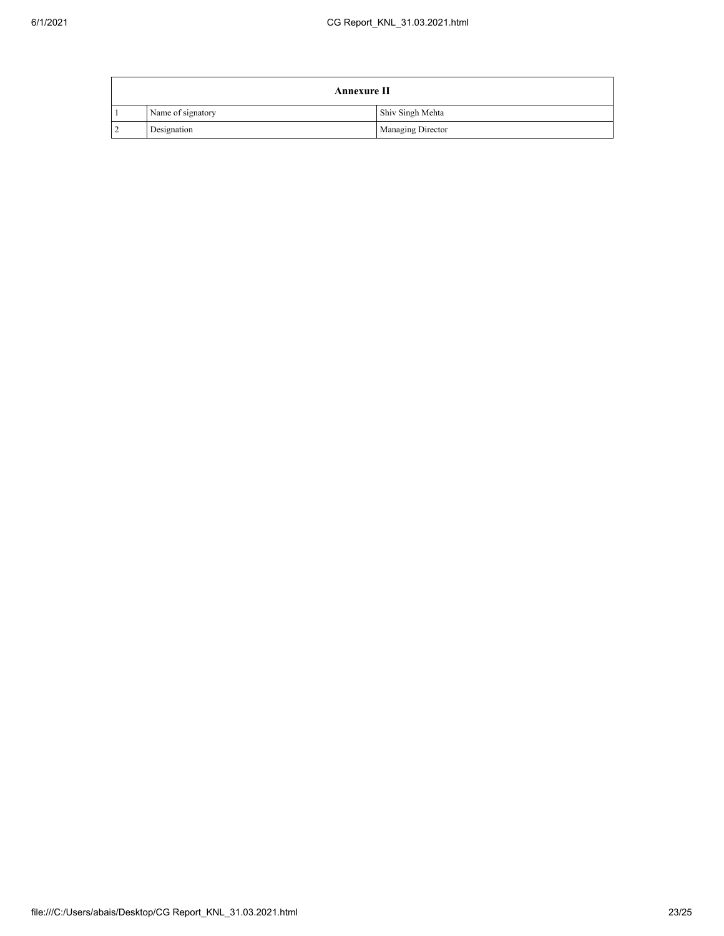|                | <b>Annexure II</b> |                          |  |
|----------------|--------------------|--------------------------|--|
|                | Name of signatory  | Shiv Singh Mehta         |  |
| $\overline{2}$ | Designation        | <b>Managing Director</b> |  |